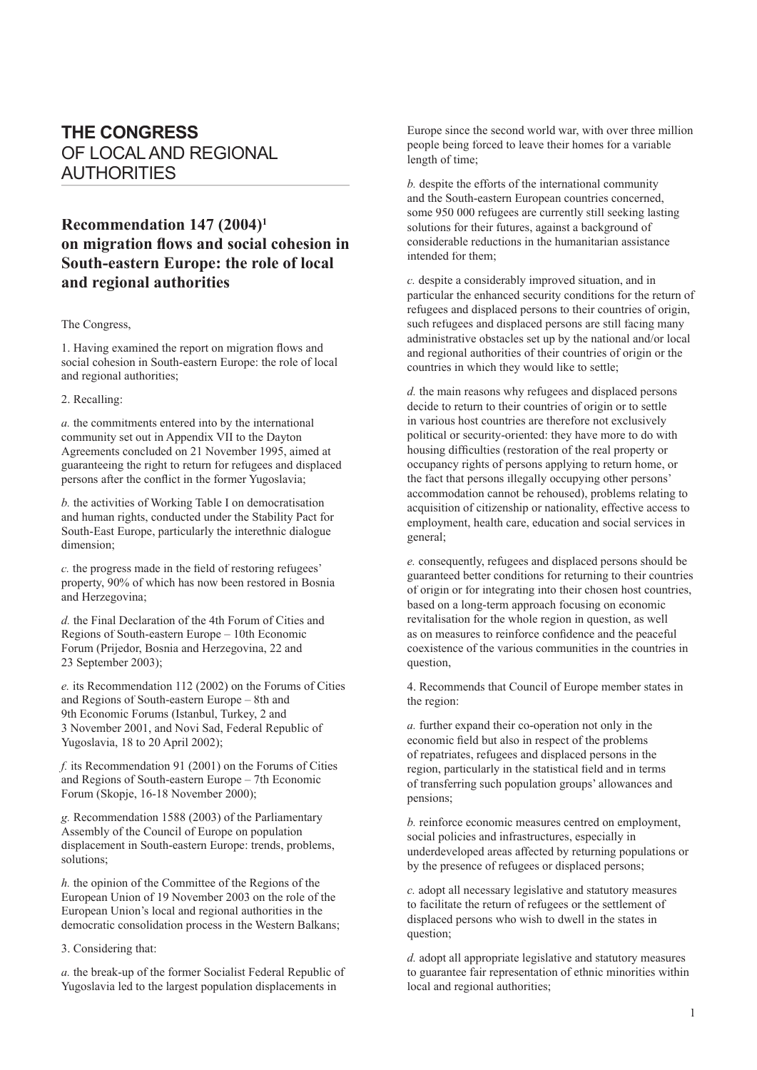# **THE CONGRESS** OF LOCAL AND REGIONAL AUTHORITIES

## **Recommendation 147 (2004)1 on migration flows and social cohesion in South-eastern Europe: the role of local and regional authorities**

#### The Congress,

1. Having examined the report on migration flows and social cohesion in South-eastern Europe: the role of local and regional authorities;

### 2. Recalling:

*a.* the commitments entered into by the international community set out in Appendix VII to the Dayton Agreements concluded on 21 November 1995, aimed at guaranteeing the right to return for refugees and displaced persons after the conflict in the former Yugoslavia;

*b.* the activities of Working Table I on democratisation and human rights, conducted under the Stability Pact for South-East Europe, particularly the interethnic dialogue dimension;

*c*. the progress made in the field of restoring refugees' property, 90% of which has now been restored in Bosnia and Herzegovina;

*d.* the Final Declaration of the 4th Forum of Cities and Regions of South-eastern Europe – 10th Economic Forum (Prijedor, Bosnia and Herzegovina, 22 and 23 September 2003);

*e.* its Recommendation 112 (2002) on the Forums of Cities and Regions of South-eastern Europe – 8th and 9th Economic Forums (Istanbul, Turkey, 2 and 3 November 2001, and Novi Sad, Federal Republic of Yugoslavia, 18 to 20 April 2002);

*f.* its Recommendation 91 (2001) on the Forums of Cities and Regions of South-eastern Europe – 7th Economic Forum (Skopje, 16-18 November 2000);

*g.* Recommendation 1588 (2003) of the Parliamentary Assembly of the Council of Europe on population displacement in South-eastern Europe: trends, problems, solutions;

*h.* the opinion of the Committee of the Regions of the European Union of 19 November 2003 on the role of the European Union's local and regional authorities in the democratic consolidation process in the Western Balkans;

3. Considering that:

*a.* the break-up of the former Socialist Federal Republic of Yugoslavia led to the largest population displacements in

Europe since the second world war, with over three million people being forced to leave their homes for a variable length of time;

*b.* despite the efforts of the international community and the South-eastern European countries concerned, some 950 000 refugees are currently still seeking lasting solutions for their futures, against a background of considerable reductions in the humanitarian assistance intended for them;

*c.* despite a considerably improved situation, and in particular the enhanced security conditions for the return of refugees and displaced persons to their countries of origin, such refugees and displaced persons are still facing many administrative obstacles set up by the national and/or local and regional authorities of their countries of origin or the countries in which they would like to settle;

*d.* the main reasons why refugees and displaced persons decide to return to their countries of origin or to settle in various host countries are therefore not exclusively political or security-oriented: they have more to do with housing difficulties (restoration of the real property or occupancy rights of persons applying to return home, or the fact that persons illegally occupying other persons' accommodation cannot be rehoused), problems relating to acquisition of citizenship or nationality, effective access to employment, health care, education and social services in general;

*e.* consequently, refugees and displaced persons should be guaranteed better conditions for returning to their countries of origin or for integrating into their chosen host countries, based on a long-term approach focusing on economic revitalisation for the whole region in question, as well as on measures to reinforce confidence and the peaceful coexistence of the various communities in the countries in question,

4. Recommends that Council of Europe member states in the region:

*a.* further expand their co-operation not only in the economic field but also in respect of the problems of repatriates, refugees and displaced persons in the region, particularly in the statistical field and in terms of transferring such population groups' allowances and pensions;

*b.* reinforce economic measures centred on employment, social policies and infrastructures, especially in underdeveloped areas affected by returning populations or by the presence of refugees or displaced persons;

*c.* adopt all necessary legislative and statutory measures to facilitate the return of refugees or the settlement of displaced persons who wish to dwell in the states in question;

*d.* adopt all appropriate legislative and statutory measures to guarantee fair representation of ethnic minorities within local and regional authorities;